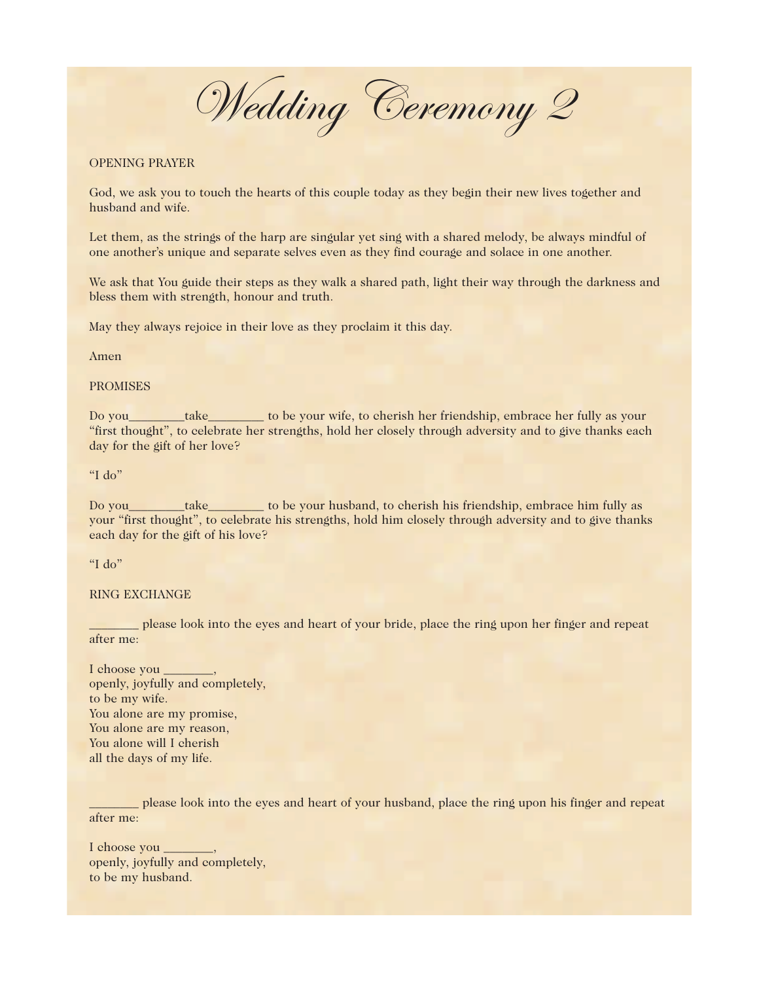Wedding Ceremony 2

## OPENING PRAYER

God, we ask you to touch the hearts of this couple today as they begin their new lives together and husband and wife.

Let them, as the strings of the harp are singular yet sing with a shared melody, be always mindful of one another's unique and separate selves even as they find courage and solace in one another.

We ask that You guide their steps as they walk a shared path, light their way through the darkness and bless them with strength, honour and truth.

May they always rejoice in their love as they proclaim it this day.

Amen

PROMISES

Do you\_\_\_\_\_\_\_\_\_take\_\_\_\_\_\_\_\_\_ to be your wife, to cherish her friendship, embrace her fully as your "first thought", to celebrate her strengths, hold her closely through adversity and to give thanks each day for the gift of her love?

"I do"

Do you\_\_\_\_\_\_\_\_\_take\_\_\_\_\_\_\_\_\_ to be your husband, to cherish his friendship, embrace him fully as your "first thought", to celebrate his strengths, hold him closely through adversity and to give thanks each day for the gift of his love?

"I do"

RING EXCHANGE

\_\_\_\_\_\_\_\_ please look into the eyes and heart of your bride, place the ring upon her finger and repeat after me:

I choose you  $\_\_$ openly, joyfully and completely, to be my wife. You alone are my promise, You alone are my reason, You alone will I cherish all the days of my life.

\_\_\_\_\_\_\_\_ please look into the eyes and heart of your husband, place the ring upon his finger and repeat after me:

I choose you \_\_\_\_\_ openly, joyfully and completely, to be my husband.